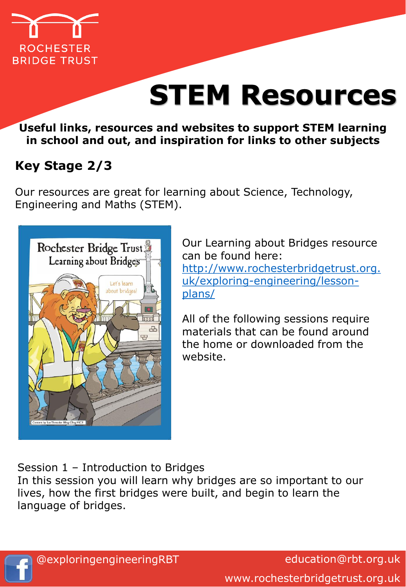

**Useful links, resources and websites to support STEM learning in school and out, and inspiration for links to other subjects**

# **Key Stage 2/3**

Our resources are great for learning about Science, Technology, Engineering and Maths (STEM).



Our Learning about Bridges resource can be found here: [http://www.rochesterbridgetrust.org.](http://www.rochesterbridgetrust.org.uk/exploring-engineering/lesson-plans/) uk/exploring-engineering/lessonplans/

All of the following sessions require materials that can be found around the home or downloaded from the website.

Session 1 – Introduction to Bridges

In this session you will learn why bridges are so important to our lives, how the first bridges were built, and begin to learn the language of bridges.

education@rbt.org.uk www.rochesterbridgetrust.org.uk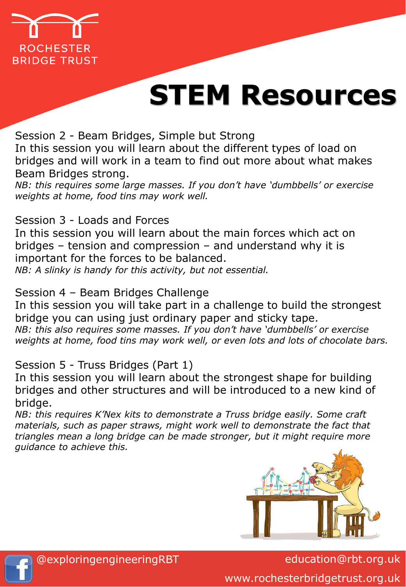

Session 2 - Beam Bridges, Simple but Strong In this session you will learn about the different types of load on bridges and will work in a team to find out more about what makes Beam Bridges strong.

*NB: this requires some large masses. If you don't have 'dumbbells' or exercise weights at home, food tins may work well.*

#### Session 3 - Loads and Forces

In this session you will learn about the main forces which act on bridges – tension and compression – and understand why it is important for the forces to be balanced.

*NB: A slinky is handy for this activity, but not essential.*

### Session 4 – Beam Bridges Challenge

In this session you will take part in a challenge to build the strongest bridge you can using just ordinary paper and sticky tape. *NB: this also requires some masses. If you don't have 'dumbbells' or exercise weights at home, food tins may work well, or even lots and lots of chocolate bars.*

### Session 5 - Truss Bridges (Part 1)

In this session you will learn about the strongest shape for building bridges and other structures and will be introduced to a new kind of bridge.

*NB: this requires K'Nex kits to demonstrate a Truss bridge easily. Some craft*  materials, such as paper straws, might work well to demonstrate the fact that *triangles mean a long bridge can be made stronger, but it might require more guidance to achieve this.*



education@rbt.org.uk www.rochesterbridgetrust.org.uk

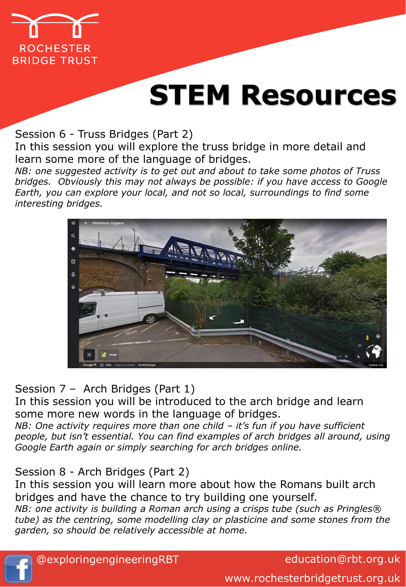

#### Session 6 - Truss Bridges (Part 2)

In this session you will explore the truss bridge in more detail and learn some more of the language of bridges.

*NB: one suggested activity is to get out and about to take some photos of Truss bridges. Obviously this may not always be possible: if you have access to Google Earth, you can explore your local, and not so local, surroundings to find some interesting bridges.*



### Session 7 – Arch Bridges (Part 1)

In this session you will be introduced to the arch bridge and learn some more new words in the language of bridges.

*NB: One activity requires more than one child – it's fun if you have sufficient people, but isn't essential. You can find examples of arch bridges all around, using Google Earth again or simply searching for arch bridges online.*

### Session 8 - Arch Bridges (Part 2)

In this session you will learn more about how the Romans built arch bridges and have the chance to try building one yourself.

*NB: one activity is building a Roman arch using a crisps tube (such as Pringles® tube) as the centring, some modelling clay or plasticine and some stones from the garden, so should be relatively accessible at home.*



education@rbt.org.uk

www.rochesterbridgetrust.org.uk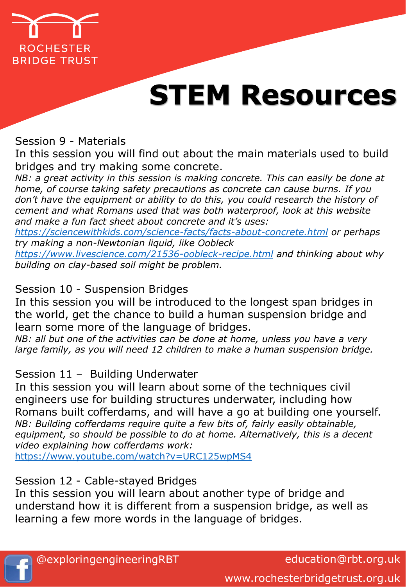

Session 9 - Materials

In this session you will find out about the main materials used to build bridges and try making some concrete.

*NB: a great activity in this session is making concrete. This can easily be done at home, of course taking safety precautions as concrete can cause burns. If you don't have the equipment or ability to do this, you could research the history of cement and what Romans used that was both waterproof, look at this website and make a fun fact sheet about concrete and it's uses:* 

*<https://sciencewithkids.com/science-facts/facts-about-concrete.html> or perhaps try making a non-Newtonian liquid, like Oobleck*

*<https://www.livescience.com/21536-oobleck-recipe.html> and thinking about why building on clay-based soil might be problem.*

Session 10 - Suspension Bridges

In this session you will be introduced to the longest span bridges in the world, get the chance to build a human suspension bridge and learn some more of the language of bridges.

*NB: all but one of the activities can be done at home, unless you have a very large family, as you will need 12 children to make a human suspension bridge.*

Session 11 – Building Underwater

In this session you will learn about some of the techniques civil engineers use for building structures underwater, including how Romans built cofferdams, and will have a go at building one yourself. *NB: Building cofferdams require quite a few bits of, fairly easily obtainable, equipment, so should be possible to do at home. Alternatively, this is a decent video explaining how cofferdams work:* 

<https://www.youtube.com/watch?v=URC125wpMS4>

Session 12 - Cable-stayed Bridges

In this session you will learn about another type of bridge and understand how it is different from a suspension bridge, as well as learning a few more words in the language of bridges.

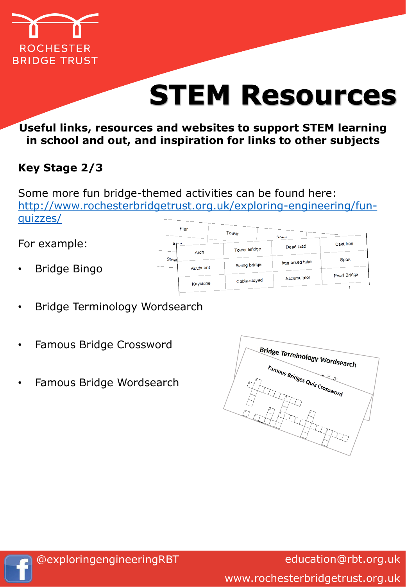

## **Useful links, resources and websites to support STEM learning in school and out, and inspiration for links to other subjects**

# **Key Stage 2/3**

Some more fun bridge-themed activities can be found here: [http://www.rochesterbridgetrust.org.uk/exploring-engineering/fun](http://www.rochesterbridgetrust.org.uk/exploring-engineering/fun-quizzes/)quizzes/

## For example:

- Bridge Bingo
- Bridge Terminology Wordsearch
- Famous Bridge Crossword
- Famous Bridge Wordsearch





education@rbt.org.uk www.rochesterbridgetrust.org.uk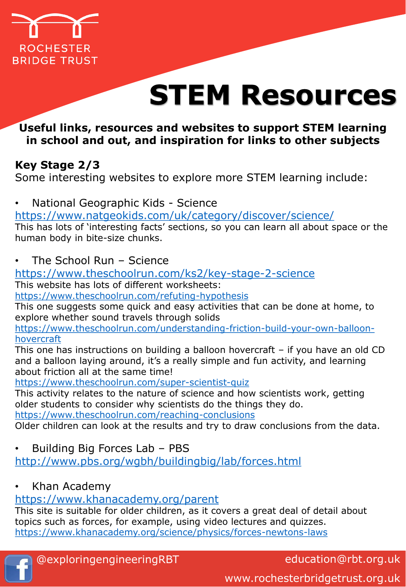

## **Useful links, resources and websites to support STEM learning in school and out, and inspiration for links to other subjects**

# **Key Stage 2/3**

Some interesting websites to explore more STEM learning include:

• National Geographic Kids - Science

<https://www.natgeokids.com/uk/category/discover/science/>

This has lots of 'interesting facts' sections, so you can learn all about space or the human body in bite-size chunks.

• The School Run – Science

<https://www.theschoolrun.com/ks2/key-stage-2-science>

This website has lots of different worksheets:

<https://www.theschoolrun.com/refuting-hypothesis>

This one suggests some quick and easy activities that can be done at home, to explore whether sound travels through solids

[https://www.theschoolrun.com/understanding-friction-build-your-own-balloon](https://www.theschoolrun.com/understanding-friction-build-your-own-balloon-hovercraft)hovercraft

This one has instructions on building a balloon hovercraft – if you have an old CD and a balloon laying around, it's a really simple and fun activity, and learning about friction all at the same time!

<https://www.theschoolrun.com/super-scientist-quiz>

This activity relates to the nature of science and how scientists work, getting older students to consider why scientists do the things they do.

<https://www.theschoolrun.com/reaching-conclusions>

Older children can look at the results and try to draw conclusions from the data.

• Building Big Forces Lab – PBS

<http://www.pbs.org/wgbh/buildingbig/lab/forces.html>

• Khan Academy

# <https://www.khanacademy.org/parent>

This site is suitable for older children, as it covers a great deal of detail about topics such as forces, for example, using video lectures and quizzes. <https://www.khanacademy.org/science/physics/forces-newtons-laws>



education@rbt.org.uk

www.rochesterbridgetrust.org.uk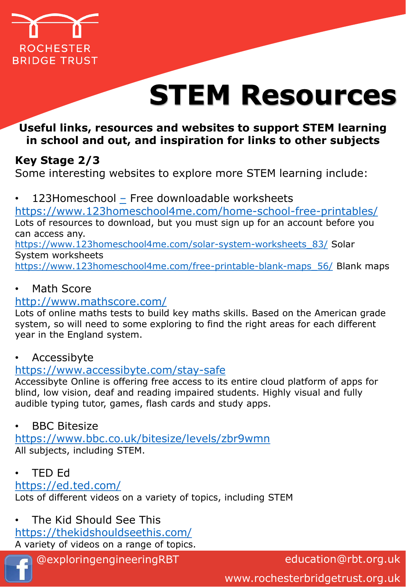

## **Useful links, resources and websites to support STEM learning in school and out, and inspiration for links to other subjects**

# **Key Stage 2/3**

Some interesting websites to explore more STEM learning include:

• 123Homeschool [–](https://www.natgeokids.com/uk/category/discover/science/) Free downloadable worksheets

<https://www.123homeschool4me.com/home-school-free-printables/> Lots of resources to download, but you must sign up for an account before you can access any. [https://www.123homeschool4me.com/solar-system-worksheets\\_83/](https://www.123homeschool4me.com/solar-system-worksheets_83/) Solar System worksheets [https://www.123homeschool4me.com/free-printable-blank-maps\\_56/](https://www.123homeschool4me.com/free-printable-blank-maps_56/) Blank maps

## **Math Score**

#### <http://www.mathscore.com/>

Lots of online maths tests to build key maths skills. Based on the American grade system, so will need to some exploring to find the right areas for each different year in the England system.

### **Accessibyte**

### <https://www.accessibyte.com/stay-safe>

Accessibyte Online is offering free access to its entire cloud platform of apps for blind, low vision, deaf and reading impaired students. Highly visual and fully audible typing tutor, games, flash cards and study apps.

#### **BBC Bitesize**

<https://www.bbc.co.uk/bitesize/levels/zbr9wmn> All subjects, including STEM.

• TED Ed

### <https://ed.ted.com/>

Lots of different videos on a variety of topics, including STEM

• The Kid Should See This

<https://thekidshouldseethis.com/>

A variety of videos on a range of topics.

@exploringengineeringRBT

education@rbt.org.uk

www.rochesterbridgetrust.org.uk